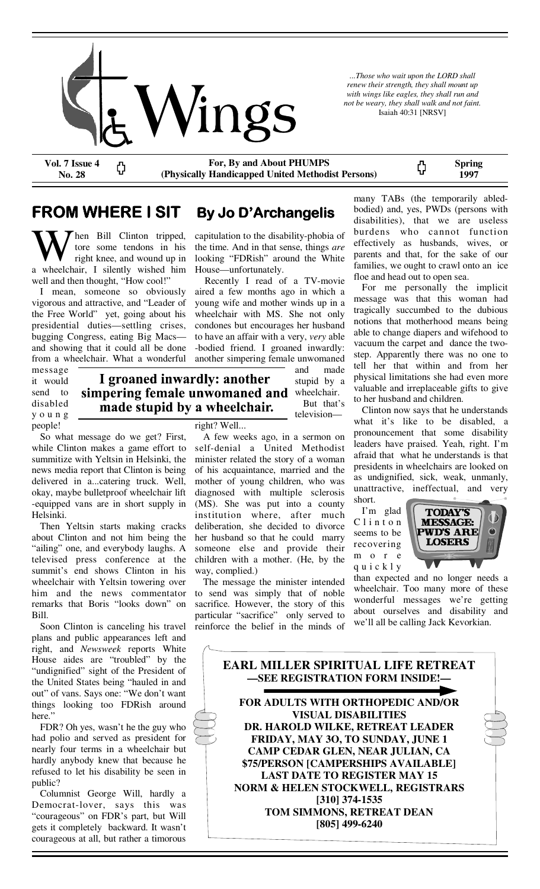

*...Those who wait upon the LORD shall renew their strength, they shall mount up with wings like eagles, they shall run and not be weary, they shall walk and not faint.*  Isaiah 40:31 [NRSV]

**Vol. 7 Issue 4 No. 28** 

**For, By and About PHUMPS (Physically Handicapped United Methodist Persons)** 

> capitulation to the disability-phobia of the time. And in that sense, things *are*  looking "FDRish" around the White

> Recently I read of a TV-movie aired a few months ago in which a young wife and mother winds up in a wheelchair with MS. She not only condones but encourages her husband to have an affair with a very, *very* able -bodied friend. I groaned inwardly: another simpering female unwomaned

> > and made stupid by a

> > But that's television—

House—unfortunately.

**Spring**  ς, **1997** 

# **FROM WHERE I SIT By Jo D'Archangelis**

W hen Bill Clinton tripped,<br>
tore some tendons in his<br>
a wheelchair, I silently wished him tore some tendons in his right knee, and wound up in well and then thought, "How cool!"

 I mean, someone so obviously vigorous and attractive, and "Leader of the Free World" yet, going about his presidential duties—settling crises, bugging Congress, eating Big Macs and showing that it could all be done from a wheelchair. What a wonderful

message it would send to disabled y o u n g people!

I groaned inwardly: another simpering female unwomaned and wheelchair. made stupid by a wheelchair.

 So what message do we get? First, while Clinton makes a game effort to summitize with Yeltsin in Helsinki, the news media report that Clinton is being delivered in a...catering truck. Well, okay, maybe bulletproof wheelchair lift -equipped vans are in short supply in Helsinki.

 Then Yeltsin starts making cracks about Clinton and not him being the "ailing" one, and everybody laughs. A televised press conference at the summit's end shows Clinton in his wheelchair with Yeltsin towering over him and the news commentator remarks that Boris "looks down" on Bill.

 Soon Clinton is canceling his travel plans and public appearances left and right, and *Newsweek* reports White House aides are "troubled" by the "undignified" sight of the President of the United States being "hauled in and out" of vans. Says one: "We don't want things looking too FDRish around here."

 FDR? Oh yes, wasn't he the guy who had polio and served as president for nearly four terms in a wheelchair but hardly anybody knew that because he refused to let his disability be seen in public?

 Columnist George Will, hardly a Democrat-lover, says this was "courageous" on FDR's part, but Will gets it completely backward. It wasn't courageous at all, but rather a timorous

right? Well... A few weeks ago, in a sermon on self-denial a United Methodist minister related the story of a woman of his acquaintance, married and the mother of young children, who was diagnosed with multiple sclerosis (MS). She was put into a county institution where, after much deliberation, she decided to divorce her husband so that he could marry someone else and provide their children with a mother. (He, by the way, complied.)

 The message the minister intended to send was simply that of noble sacrifice. However, the story of this particular "sacrifice" only served to reinforce the belief in the minds of

many TABs (the temporarily abledbodied) and, yes, PWDs (persons with disabilities), that we are useless burdens who cannot function effectively as husbands, wives, or parents and that, for the sake of our families, we ought to crawl onto an ice floe and head out to open sea.

 For me personally the implicit message was that this woman had tragically succumbed to the dubious notions that motherhood means being able to change diapers and wifehood to vacuum the carpet and dance the twostep. Apparently there was no one to tell her that within and from her physical limitations she had even more valuable and irreplaceable gifts to give to her husband and children.

 Clinton now says that he understands what it's like to be disabled, a pronouncement that some disability leaders have praised. Yeah, right. I'm afraid that what he understands is that presidents in wheelchairs are looked on as undignified, sick, weak, unmanly, unattractive, ineffectual, and very short.

 I'm glad C l i n t o n seems to be recovering m o r e q u i c k l y



than expected and no longer needs a wheelchair. Too many more of these wonderful messages we're getting about ourselves and disability and we'll all be calling Jack Kevorkian.

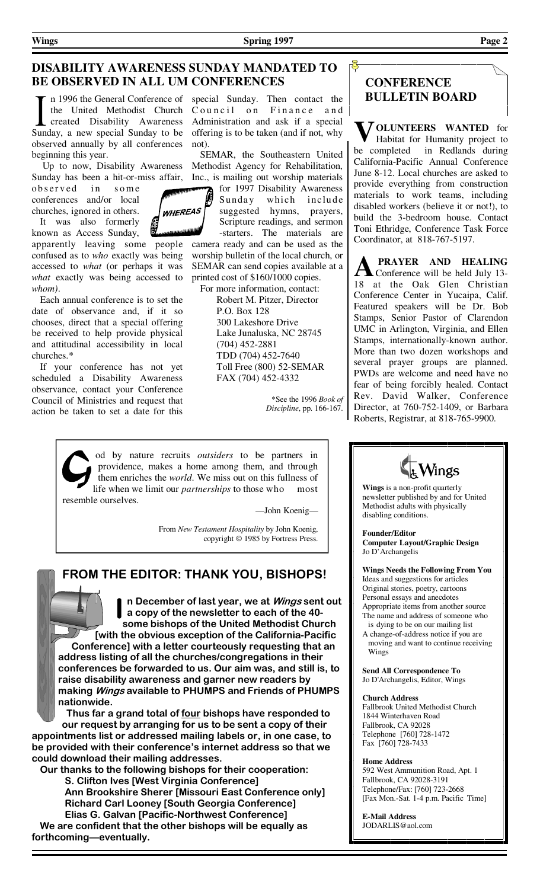#### **DISABILITY AWARENESS SUNDAY MANDATED TO BE OBSERVED IN ALL UM CONFERENCES**

n 1996 the General Conference of special Sunday. Then contact the **BULLETIN BOARD** observed annually by all conferences not). beginning this year.

 Up to now, Disability Awareness Sunday has been a hit-or-miss affair,

observed in some conferences and/or local churches, ignored in others.

 It was also formerly known as Access Sunday,

apparently leaving some people confused as to *who* exactly was being accessed to *what* (or perhaps it was *what* exactly was being accessed to *whom)*.

 Each annual conference is to set the date of observance and, if it so chooses, direct that a special offering be received to help provide physical and attitudinal accessibility in local churches.\*

 If your conference has not yet scheduled a Disability Awareness observance, contact your Conference Council of Ministries and request that action be taken to set a date for this

the United Methodist Church Council on Finance and created Disability Awareness Administration and ask if a special Sunday, a new special Sunday to be offering is to be taken (and if not, why

> SEMAR, the Southeastern United Methodist Agency for Rehabilitation, Inc., is mailing out worship materials

for 1997 Disability Awareness Sunday which include suggested hymns, prayers,

Scripture readings, and sermon -starters. The materials are camera ready and can be used as the worship bulletin of the local church, or SEMAR can send copies available at a printed cost of \$160/1000 copies.

 For more information, contact: Robert M. Pitzer, Director P.O. Box 128 300 Lakeshore Drive Lake Junaluska, NC 28745 (704) 452-2881 TDD (704) 452-7640 Toll Free (800) 52-SEMAR FAX (704) 452-4332

> \*See the 1996 *Book of Discipline*, pp. 166-167.

od by nature recruits *outsiders* to be partners in providence, makes a home among them, and through them enriches the *world*. We miss out on this fullness of life when we limit our *partnerships* to those who most resemble ourselves.

—John Koenig—

 From *New Testament Hospitality* by John Koenig, copyright © 1985 by Fortress Press.

### **FROM THE EDITOR: THANK YOU, BISHOPS!**

**n December of last year, we at Wings sent out a copy of the newsletter to each of the 40 some bishops of the United Methodist Church [with the obvious exception of the California-Pacific Conference] with a letter courteously requesting that an address listing of all the churches/congregations in their conferences be forwarded to us. Our aim was, and still is, to raise disability awareness and garner new readers by making Wings available to PHUMPS and Friends of PHUMPS nationwide.** 

 **Thus far a grand total of four bishops have responded to our request by arranging for us to be sent a copy of their appointments list or addressed mailing labels or, in one case, to be provided with their conference's internet address so that we could download their mailing addresses.** 

 **Our thanks to the following bishops for their cooperation: S. Clifton Ives [West Virginia Conference] Ann Brookshire Sherer [Missouri East Conference only] Richard Carl Looney [South Georgia Conference] Elias G. Galvan [Pacific-Northwest Conference]** 

 **We are confident that the other bishops will be equally as forthcoming—eventually.** 

# **CONFERENCE**

 $\mathbf{E}$ 

**V OLUNTEERS WANTED** for Habitat for Humanity project to be completed in Redlands during California-Pacific Annual Conference June 8-12. Local churches are asked to provide everything from construction materials to work teams, including disabled workers (believe it or not!), to build the 3-bedroom house. Contact Toni Ethridge, Conference Task Force Coordinator, at 818-767-5197.

**A PRAYER AND HEALING** Conference will be held July 13-18 at the Oak Glen Christian Conference Center in Yucaipa, Calif. Featured speakers will be Dr. Bob Stamps, Senior Pastor of Clarendon UMC in Arlington, Virginia, and Ellen Stamps, internationally-known author. More than two dozen workshops and several prayer groups are planned. PWDs are welcome and need have no fear of being forcibly healed. Contact Rev. David Walker, Conference Director, at 760-752-1409, or Barbara Roberts, Registrar, at 818-765-9900.

**Wings** is a non-profit quarterly newsletter published by and for United Methodist adults with physically disabling conditions.

Vings

**Founder/Editor Computer Layout/Graphic Design**  Jo D'Archangelis

**Wings Needs the Following From You**  Ideas and suggestions for articles Original stories, poetry, cartoons Personal essays and anecdotes Appropriate items from another source The name and address of someone who is dying to be on our mailing list

A change-of-address notice if you are moving and want to continue receiving Wings

**Send All Correspondence To**  Jo D'Archangelis, Editor, Wings

#### **Church Address**

Fallbrook United Methodist Church 1844 Winterhaven Road Fallbrook, CA 92028 Telephone [760] 728-1472 Fax [760] 728-7433

#### **Home Address**

592 West Ammunition Road, Apt. 1 Fallbrook, CA 92028-3191 Telephone/Fax: [760] 723-2668 [Fax Mon.-Sat. 1-4 p.m. Pacific Time]

**E-Mail Address**  JODARLIS@aol.com

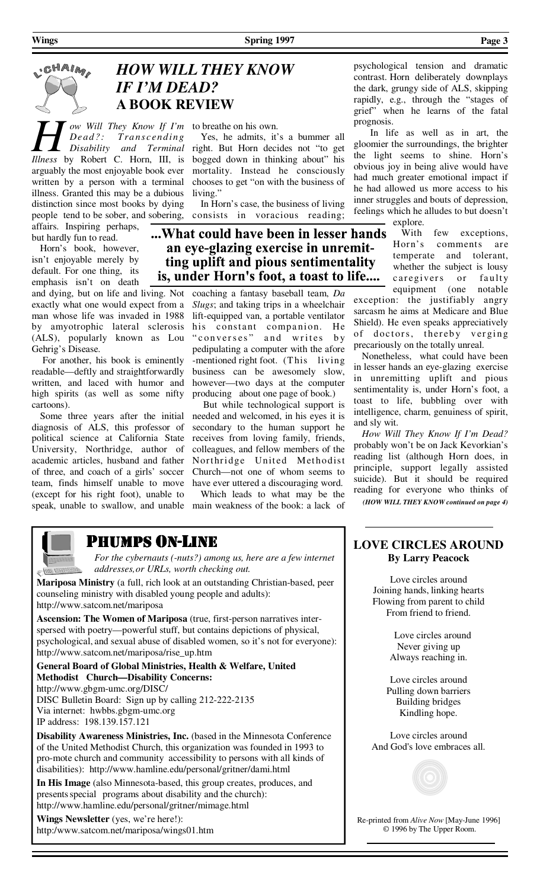**Wings Page 3 Page 3 Spring 1997** 

# CHAIM

# *HOW WILL THEY KNOW IF I'M DEAD?*   **A BOOK REVIEW**

*H Dead?: Transcending* Yes, he admits, it's *Head?: Transcending* Yes, he admits, it's *Disability and Terminal* right. But Horn decidentless by Robert C. Horn. III. is bogged down in thin *Dead ?: Tra ns cend ing Disability and Terminal Illness* by Robert C. Horn, III, is arguably the most enjoyable book ever written by a person with a terminal illness. Granted this may be a dubious distinction since most books by dying people tend to be sober, and sobering, affairs. Inspiring perhaps,

but hardly fun to read. Horn's book, however,

isn't enjoyable merely by default. For one thing, its emphasis isn't on death

and dying, but on life and living. Not exactly what one would expect from a man whose life was invaded in 1988 by amyotrophic lateral sclerosis (ALS), popularly known as Lou Gehrig's Disease.

 For another, his book is eminently readable—deftly and straightforwardly written, and laced with humor and high spirits (as well as some nifty cartoons).

 Some three years after the initial diagnosis of ALS, this professor of political science at California State University, Northridge, author of academic articles, husband and father of three, and coach of a girls' soccer team, finds himself unable to move (except for his right foot), unable to

 Yes, he admits, it's a bummer all right. But Horn decides not "to get bogged down in thinking about" his mortality. Instead he consciously chooses to get "on with the business of living."

 In Horn's case, the business of living consists in voracious reading;

...What could have been in lesser hands an eye-glazing exercise in unremitting uplift and pious sentimentality is, under Horn's foot, a toast to life....

> coaching a fantasy baseball team, *Da Slugs*; and taking trips in a wheelchair lift-equipped van, a portable ventilator his constant companion. He " converses" and writes by pedipulating a computer with the afore -mentioned right foot. (This living business can be awesomely slow, however—two days at the computer producing about one page of book.)

> But while technological support is needed and welcomed, in his eyes it is secondary to the human support he receives from loving family, friends, colleagues, and fellow members of the Northridge United Methodist Church—not one of whom seems to have ever uttered a discouraging word.

speak, unable to swallow, and unable main weakness of the book: a lack of Which leads to what may be the

psychological tension and dramatic contrast. Horn deliberately downplays the dark, grungy side of ALS, skipping rapidly, e.g., through the "stages of grief" when he learns of the fatal prognosis.

 In life as well as in art, the gloomier the surroundings, the brighter the light seems to shine. Horn's obvious joy in being alive would have had much greater emotional impact if he had allowed us more access to his inner struggles and bouts of depression, feelings which he alludes to but doesn't explore.

 With few exceptions, Horn's comments are temperate and tolerant, whether the subject is lousy caregivers or faulty equipment (one notable

exception: the justifiably angry sarcasm he aims at Medicare and Blue Shield). He even speaks appreciatively of doctors, thereby verging precariously on the totally unreal.

 Nonetheless, what could have been in lesser hands an eye-glazing exercise in unremitting uplift and pious sentimentality is, under Horn's foot, a toast to life, bubbling over with intelligence, charm, genuiness of spirit, and sly wit.

*How Will They Know If I'm Dead?* probably won't be on Jack Kevorkian's reading list (although Horn does, in principle, support legally assisted suicide). But it should be required reading for everyone who thinks of *(HOW WILL THEY KNOW continued on page 4)* 



## PHUMPS ON-LINE

 *For the cybernauts (-nuts?) among us, here are a few internet addresses, or URLs, worth checking out.* 

**Mariposa Ministry** (a full, rich look at an outstanding Christian-based, peer counseling ministry with disabled young people and adults): http://www.satcom.net/mariposa

**Ascension: The Women of Mariposa** (true, first-person narratives interspersed with poetry—powerful stuff, but contains depictions of physical, psychological, and sexual abuse of disabled women, so it's not for everyone): http://www.satcom.net/mariposa/rise\_up.htm

**General Board of Global Ministries, Health & Welfare, United Methodist Church—Disability Concerns:**  http://www.gbgm-umc.org/DISC/ DISC Bulletin Board: Sign up by calling 212-222-2135 Via internet: hwbbs.gbgm-umc.org IP address: 198.139.157.121

**Disability Awareness Ministries, Inc.** (based in the Minnesota Conference of the United Methodist Church, this organization was founded in 1993 to pro-mote church and community accessibility to persons with all kinds of disabilities): http://www.hamline.edu/personal/gritner/dami.html

**In His Image** (also Minnesota-based, this group creates, produces, and presents special programs about disability and the church): http://www.hamline.edu/personal/gritner/mimage.html

**Wings Newsletter** (yes, we're here!): http:/www.satcom.net/mariposa/wings01.htm

#### **LOVE CIRCLES AROUND By Larry Peacock**

Love circles around Joining hands, linking hearts Flowing from parent to child From friend to friend.

> Love circles around Never giving up Always reaching in.

Love circles around Pulling down barriers Building bridges Kindling hope.

Love circles around And God's love embraces all.



Re-printed from *Alive Now* [May-June 1996] © 1996 by The Upper Room.